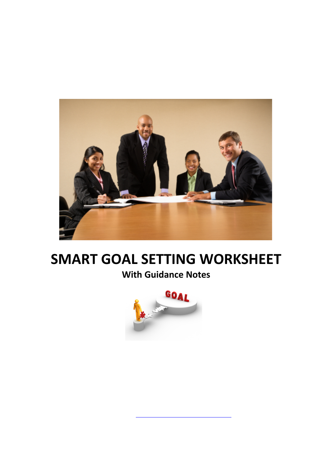

# **SMART GOAL SETTING WORKSHEET**

# **With Guidance Notes**

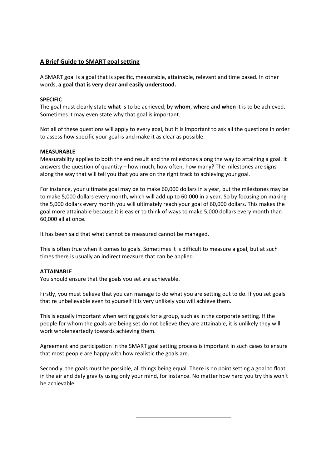# **A Brief Guide to SMART goal setting**

A SMART goal is a goal that is specific, measurable, attainable, relevant and time based. In other words, **a goal that is very clear and easily understood.**

# **SPECIFIC**

The goal must clearly state **what** is to be achieved, by **whom**, **where** and **when** it is to be achieved. Sometimes it may even state why that goal is important.

Not all of these questions will apply to every goal, but it is important to ask all the questions in order to assess how specific your goal is and make it as clear as possible.

## **MEASURABLE**

Measurability applies to both the end result and the milestones along the way to attaining a goal. It answers the question of quantity – how much, how often, how many? The milestones are signs along the way that will tell you that you are on the right track to achieving your goal.

For instance, your ultimate goal may be to make 60,000 dollars in a year, but the milestones may be to make 5,000 dollars every month, which will add up to 60,000 in a year. So by focusing on making the 5,000 dollars every month you will ultimately reach your goal of 60,000 dollars. This makes the goal more attainable because it is easier to think of ways to make 5,000 dollars every month than 60,000 all at once.

It has been said that what cannot be measured cannot be managed.

This is often true when it comes to goals. Sometimes it is difficult to measure a goal, but at such times there is usually an indirect measure that can be applied.

## **ATTAINABLE**

You should ensure that the goals you set are achievable.

Firstly, you must believe that you can manage to do what you are setting out to do. If you set goals that re unbelievable even to yourself it is very unlikely you will achieve them.

This is equally important when setting goals for a group, such as in the corporate setting. If the people for whom the goals are being set do not believe they are attainable, it is unlikely they will work wholeheartedly towards achieving them.

Agreement and participation in the SMART goal setting process is important in such cases to ensure that most people are happy with how realistic the goals are.

Secondly, the goals must be possible, all things being equal. There is no point setting a goal to float in the air and defy gravity using only your mind, for instance. No matter how hard you try this won't be achievable.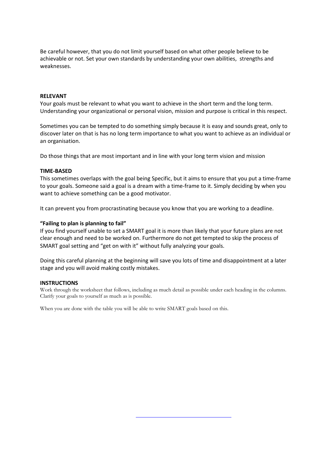Be careful however, that you do not limit yourself based on what other people believe to be achievable or not. Set your own standards by understanding your own abilities, strengths and weaknesses.

#### **RELEVANT**

Your goals must be relevant to what you want to achieve in the short term and the long term. Understanding your organizational or personal vision, mission and purpose is critical in this respect.

Sometimes you can be tempted to do something simply because it is easy and sounds great, only to discover later on that is has no long term importance to what you want to achieve as an individual or an organisation.

Do those things that are most important and in line with your long term vision and mission

#### **TIME-BASED**

This sometimes overlaps with the goal being Specific, but it aims to ensure that you put a time-frame to your goals. Someone said a goal is a dream with a time-frame to it. Simply deciding by when you want to achieve something can be a good motivator.

It can prevent you from procrastinating because you know that you are working to a deadline.

#### **"Failing to plan is planning to fail"**

If you find yourself unable to set a SMART goal it is more than likely that your future plans are not clear enough and need to be worked on. Furthermore do not get tempted to skip the process of SMART goal setting and "get on with it" without fully analyzing your goals.

Doing this careful planning at the beginning will save you lots of time and disappointment at a later stage and you will avoid making costly mistakes.

#### **INSTRUCTIONS**

Work through the worksheet that follows, including as much detail as possible under each heading in the columns. Clarify your goals to yourself as much as is possible.

When you are done with the table you will be able to write SMART goals based on this.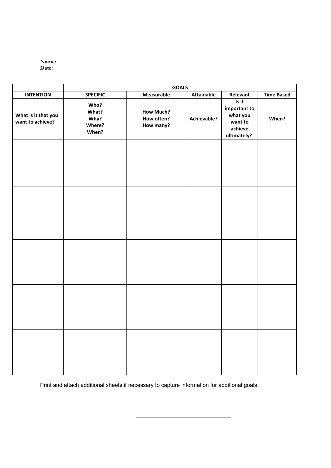

|                                         | <b>GOALS</b>                             |                                             |                   |                                                                        |                   |
|-----------------------------------------|------------------------------------------|---------------------------------------------|-------------------|------------------------------------------------------------------------|-------------------|
| <b>INTENTION</b>                        | <b>SPECIFIC</b>                          | Measurable                                  | <b>Attainable</b> | Relevant                                                               | <b>Time Based</b> |
| What is it that you<br>want to achieve? | Who?<br>What?<br>Why?<br>Where?<br>When? | <b>How Much?</b><br>How often?<br>How many? | Achievable?       | Is it<br>important to<br>what you<br>want to<br>achieve<br>ultimately? | When?             |
|                                         |                                          |                                             |                   |                                                                        |                   |
|                                         |                                          |                                             |                   |                                                                        |                   |
|                                         |                                          |                                             |                   |                                                                        |                   |
|                                         |                                          |                                             |                   |                                                                        |                   |
|                                         |                                          |                                             |                   |                                                                        |                   |

Print and attach additional sheets if necessary to capture information for additional goals.